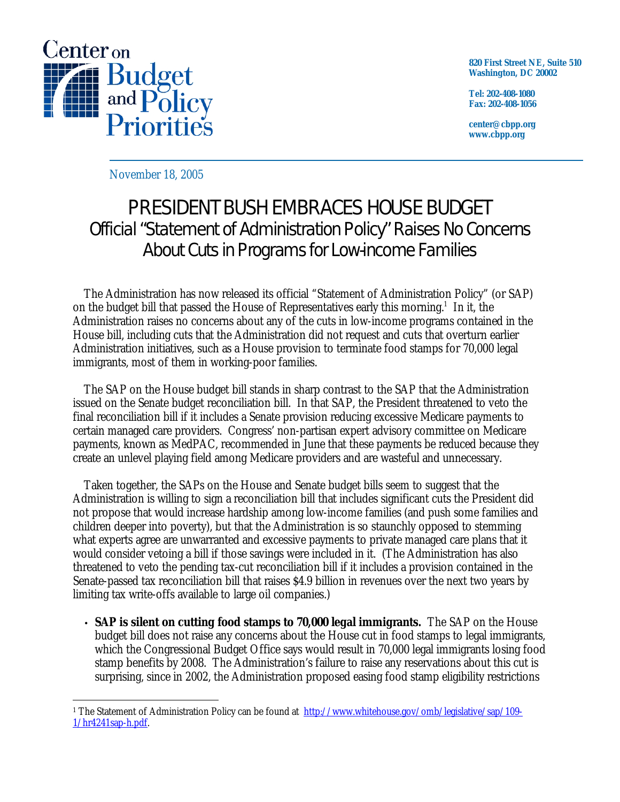

**820 First Street NE, Suite 510 Washington, DC 20002** 

**Tel: 202-408-1080 Fax: 202-408-1056** 

**center@cbpp.org www.cbpp.org** 

November 18, 2005

## PRESIDENT BUSH EMBRACES HOUSE BUDGET Official "Statement of Administration Policy" Raises No Concerns About Cuts in Programs for Low-income Families

 The Administration has now released its official "Statement of Administration Policy" (or SAP) on the budget bill that passed the House of Representatives early this morning.<sup>1</sup> In it, the Administration raises no concerns about any of the cuts in low-income programs contained in the House bill, including cuts that the Administration did not request and cuts that overturn earlier Administration initiatives, such as a House provision to terminate food stamps for 70,000 legal immigrants, most of them in working-poor families.

 The SAP on the House budget bill stands in sharp contrast to the SAP that the Administration issued on the Senate budget reconciliation bill. In that SAP, the President threatened to veto the final reconciliation bill if it includes a Senate provision reducing excessive Medicare payments to certain managed care providers. Congress' non-partisan expert advisory committee on Medicare payments, known as MedPAC, recommended in June that these payments be reduced because they create an unlevel playing field among Medicare providers and are wasteful and unnecessary.

 Taken together, the SAPs on the House and Senate budget bills seem to suggest that the Administration is willing to sign a reconciliation bill that includes significant cuts the President did not propose that would increase hardship among low-income families (and push some families and children deeper into poverty), but that the Administration is so staunchly opposed to stemming what experts agree are unwarranted and excessive payments to private managed care plans that it would consider vetoing a bill if those savings were included in it. (The Administration has also threatened to veto the pending tax-cut reconciliation bill if it includes a provision contained in the Senate-passed tax reconciliation bill that raises \$4.9 billion in revenues over the next two years by limiting tax write-offs available to large oil companies.)

• **SAP is silent on cutting food stamps to 70,000 legal immigrants.** The SAP on the House budget bill does not raise any concerns about the House cut in food stamps to legal immigrants, which the Congressional Budget Office says would result in 70,000 legal immigrants losing food stamp benefits by 2008. The Administration's failure to raise any reservations about this cut is surprising, since in 2002, the Administration proposed easing food stamp eligibility restrictions

 $\overline{a}$ <sup>1</sup> The Statement of Administration Policy can be found at <http://www.whitehouse.gov/omb/legislative/sap/109-> 1/hr4241sap-h.pdf.